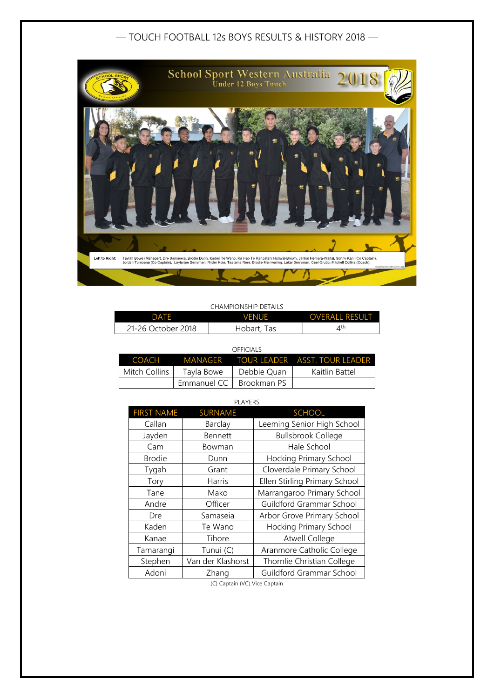# — TOUCH FOOTBALL 12s BOYS RESULTS & HISTORY 2018 —



### CHAMPIONSHIP DETAILS

| DATF               | <b>VENUE</b> | <b>OVERALL RESULT</b> |
|--------------------|--------------|-----------------------|
| 21-26 October 2018 | Hobart, Tas  | $\Lambda^{\text{th}}$ |

| OFFICIALS     |             |             |                                             |  |
|---------------|-------------|-------------|---------------------------------------------|--|
|               |             |             | COACH MANAGER TOUR LEADER ASST. TOUR LEADER |  |
| Mitch Collins | Tayla Bowe  | Debbie Quan | Kaitlin Battel                              |  |
|               | Emmanuel CC | Brookman PS |                                             |  |

| PLAYERS           |                   |                               |  |
|-------------------|-------------------|-------------------------------|--|
| <b>FIRST NAME</b> | <b>SURNAME</b>    | <b>SCHOOL</b>                 |  |
| Callan            | Barclay           | Leeming Senior High School    |  |
| Jayden            | <b>Bennett</b>    | <b>Bullsbrook College</b>     |  |
| Cam               | Bowman            | Hale School                   |  |
| <b>Brodie</b>     | Dunn              | Hocking Primary School        |  |
| Tygah             | Grant             | Cloverdale Primary School     |  |
| Tory              | Harris            | Ellen Stirling Primary School |  |
| Tane              | Mako              | Marrangaroo Primary School    |  |
| Andre             | Officer           | Guildford Grammar School      |  |
| Dre               | Samaseia          | Arbor Grove Primary School    |  |
| Kaden             | Te Wano           | Hocking Primary School        |  |
| Kanae             | Tihore            | <b>Atwell College</b>         |  |
| Tamarangi         | Tunui (C)         | Aranmore Catholic College     |  |
| Stephen           | Van der Klashorst | Thornlie Christian College    |  |
| Adoni             | Zhang             | Guildford Grammar School      |  |

(C) Captain (VC) Vice Captain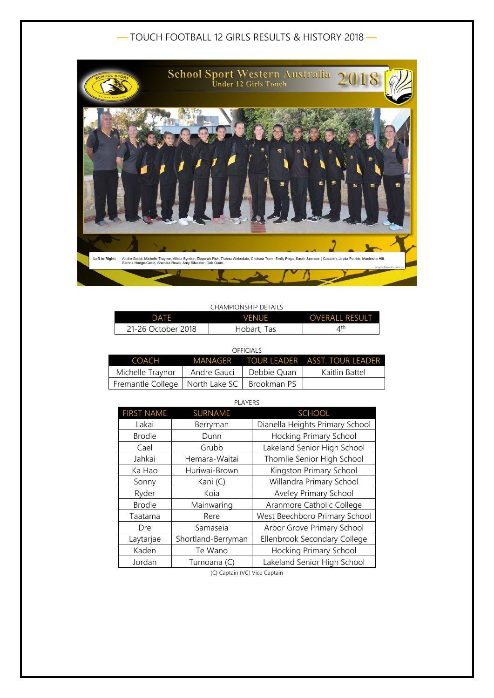# — TOUCH FOOTBALL 12 GIRLS RESULTS & HISTORY 2018 —



### CHAMPIONSHIP DETAILS

| DATF               | <b>VENUE</b> | OVERALL RESULT          |
|--------------------|--------------|-------------------------|
| 21-26 October 2018 | Hobart, Tas  | $\varDelta^{\text{th}}$ |

| C<br>Ξ |
|--------|
|--------|

| COACH                                           |             |             | MANAGER TOUR LEADER ASST. TOUR LEADER |
|-------------------------------------------------|-------------|-------------|---------------------------------------|
| Michelle Traynor                                | Andre Gauci | Debbie Quan | Kaitlin Battel                        |
| Fremantle College   North Lake SC   Brookman PS |             |             |                                       |

| <b>FIRST NAME</b> | <b>SURNAME</b>     | <b>SCHOOL</b>                   |
|-------------------|--------------------|---------------------------------|
| Lakai             | Berryman           | Dianella Heights Primary School |
| <b>Brodie</b>     | Dunn               | Hocking Primary School          |
| Cael              | Grubb              | Lakeland Senior High School     |
| Jahkai            | Hemara-Waitai      | Thornlie Senior High School     |
| Ka Hao            | Huriwai-Brown      | Kingston Primary School         |
| Sonny             | Kani (C)           | Willandra Primary School        |
| Ryder             | Koia               | Aveley Primary School           |
| <b>Brodie</b>     | Mainwaring         | Aranmore Catholic College       |
| Taatama           | Rere               | West Beechboro Primary School   |
| Dre               | Samaseia           | Arbor Grove Primary School      |
| Laytarjae         | Shortland-Berryman | Ellenbrook Secondary College    |
| Kaden             | Te Wano            | Hocking Primary School          |
| Jordan            | Tumoana (C)        | Lakeland Senior High School     |

(C) Captain (VC) Vice Captain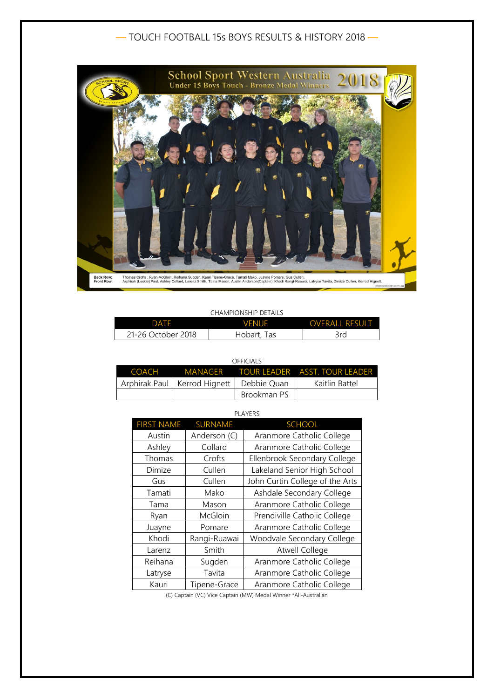# — TOUCH FOOTBALL 15s BOYS RESULTS & HISTORY 2018 —



## CHAMPIONSHIP DETAILS

| DATE               | <b>VENUE</b> | <b>OVERALL RESULT</b> |
|--------------------|--------------|-----------------------|
| 21-26 October 2018 | Hobart, Tas  | 3rd                   |

#### OFFICIALS

|                                              |             | COACH MANAGER TOUR LEADER ASST. TOUR LEADER |
|----------------------------------------------|-------------|---------------------------------------------|
| Arphirak Paul   Kerrod Hignett   Debbie Quan |             | Kaitlin Battel                              |
|                                              | Brookman PS |                                             |

## PLAYERS

| <b>FIRST NAME</b> | <b>SURNAME</b> | <b>SCHOOL</b>                   |
|-------------------|----------------|---------------------------------|
| Austin            | Anderson (C)   | Aranmore Catholic College       |
| Ashley            | Collard        | Aranmore Catholic College       |
| Thomas            | Crofts         | Ellenbrook Secondary College    |
| Dimize            | Cullen         | Lakeland Senior High School     |
| Gus               | Cullen         | John Curtin College of the Arts |
| Tamati            | Mako           | Ashdale Secondary College       |
| Tama              | Mason          | Aranmore Catholic College       |
| Ryan              | McGloin        | Prendiville Catholic College    |
| Juayne            | Pomare         | Aranmore Catholic College       |
| Khodi             | Rangi-Ruawai   | Woodvale Secondary College      |
| Larenz            | Smith          | <b>Atwell College</b>           |
| Reihana           | Sugden         | Aranmore Catholic College       |
| Latryse           | Tavita         | Aranmore Catholic College       |
| Kauri             | Tipene-Grace   | Aranmore Catholic College       |

(C) Captain (VC) Vice Captain (MW) Medal Winner \*All-Australian